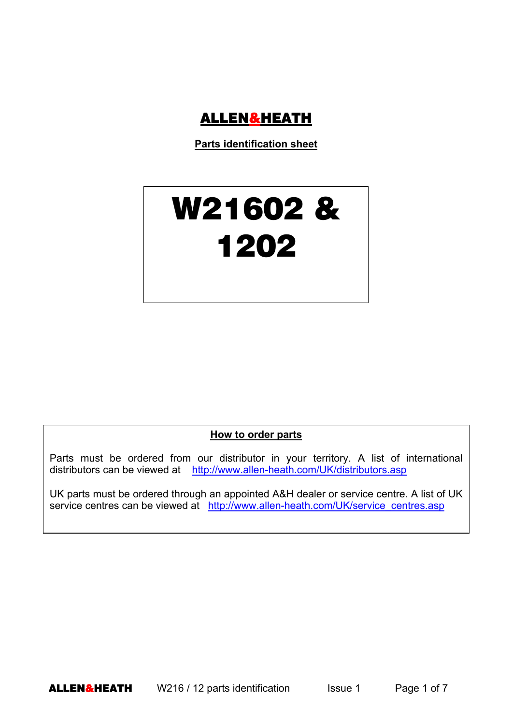

**Parts identification sheet**

## W21602 & 1202

**How to order parts**

Parts must be ordered from our distributor in your territory. A list of international distributors can be viewed at http://www.allen-heath.com/UK/distributors.asp

UK parts must be ordered through an appointed A&H dealer or service centre. A list of UK service centres can be viewed at http://www.allen-heath.com/UK/service\_centres.asp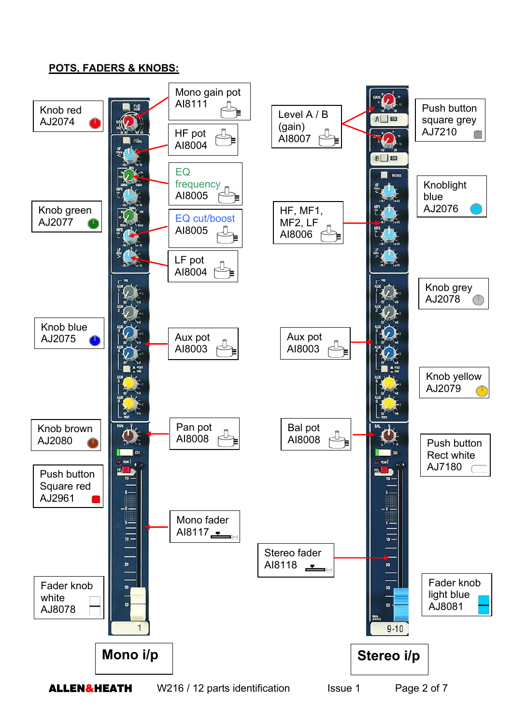## **POTS, FADERS & KNOBS:**

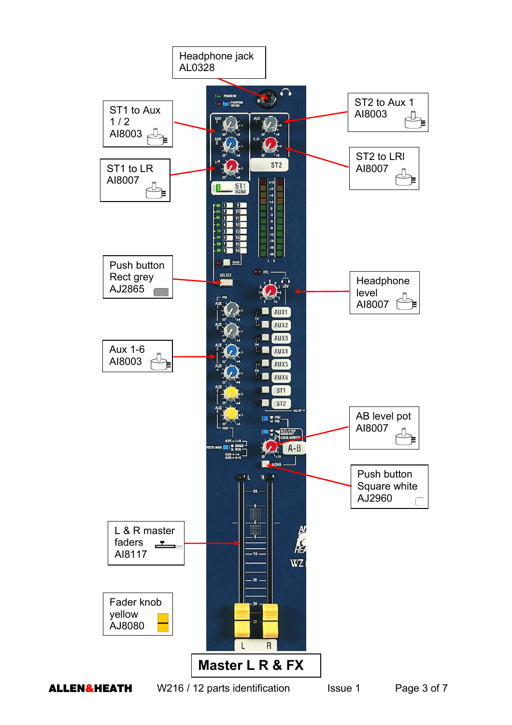



ALLEN&HEATH W216 / 12 parts identification Issue 1 Page 3 of 7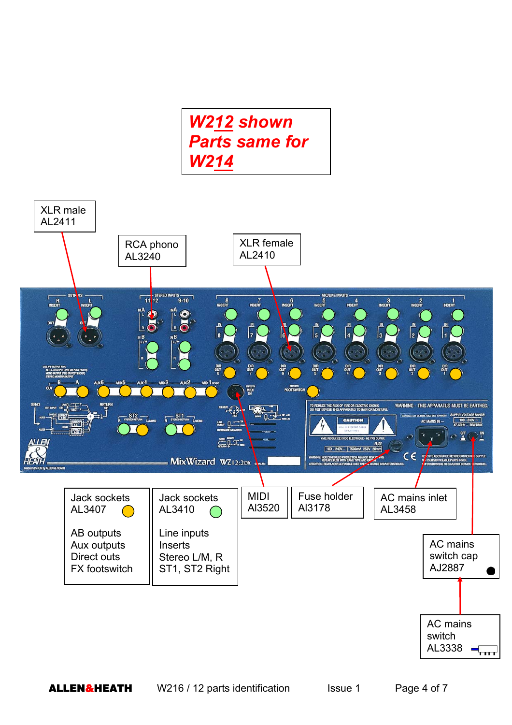

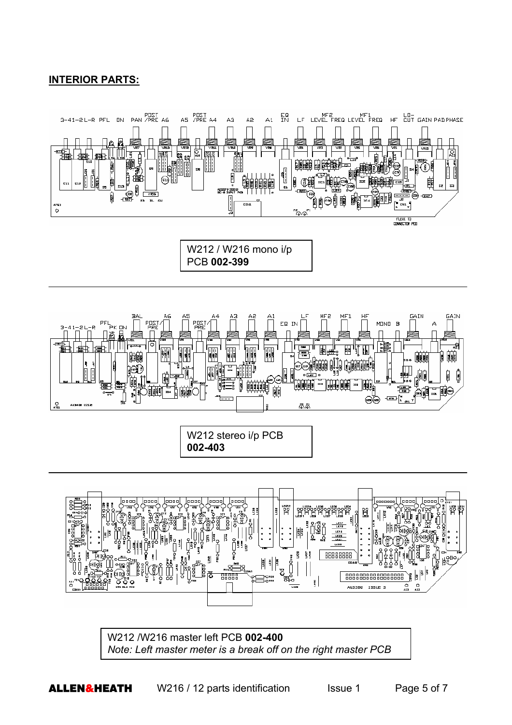## **INTERIOR PARTS:**







W212 stereo i/p PCB **002-403**



W212 /W216 master left PCB **002-400** *Note: Left master meter is a break off on the right master PCB*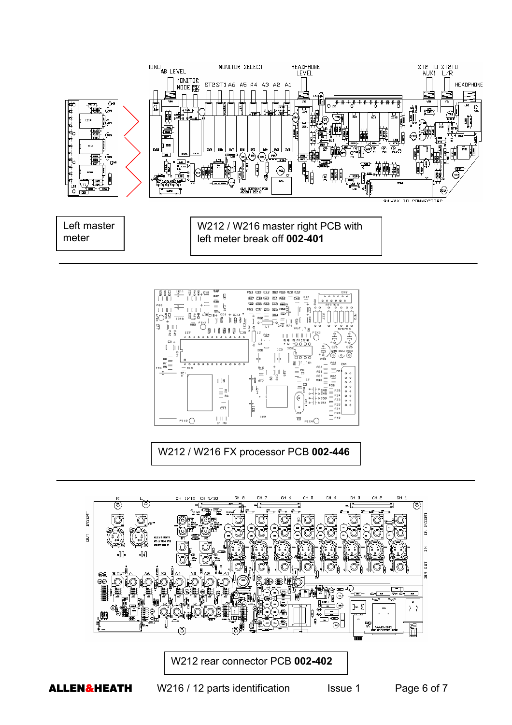



W212 / W216 FX processor PCB **002-446**